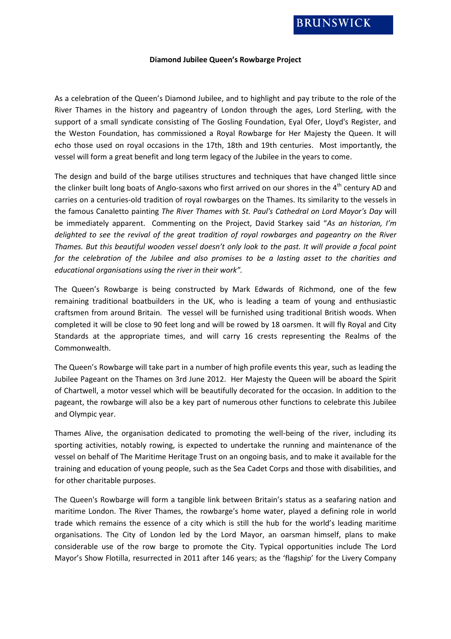## **Diamond Jubilee Queen's Rowbarge Project**

As a celebration of the Queen's Diamond Jubilee, and to highlight and pay tribute to the role of the River Thames in the history and pageantry of London through the ages, Lord Sterling, with the support of a small syndicate consisting of The Gosling Foundation, Eyal Ofer, Lloyd's Register, and the Weston Foundation, has commissioned a Royal Rowbarge for Her Majesty the Queen. It will echo those used on royal occasions in the 17th, 18th and 19th centuries. Most importantly, the vessel will form a great benefit and long term legacy of the Jubilee in the years to come.

The design and build of the barge utilises structures and techniques that have changed little since the clinker built long boats of Anglo-saxons who first arrived on our shores in the 4<sup>th</sup> century AD and carries on a centuries-old tradition of royal rowbarges on the Thames. Its similarity to the vessels in the famous Canaletto painting *The River Thames with St. Paul's Cathedral on Lord Mayor's Day* will be immediately apparent. Commenting on the Project, David Starkey said "*As an historian, I'm delighted to see the revival of the great tradition of royal rowbarges and pageantry on the River Thames. But this beautiful wooden vessel doesn't only look to the past. It will provide a focal point for the celebration of the Jubilee and also promises to be a lasting asset to the charities and educational organisations using the river in their work".*

The Queen's Rowbarge is being constructed by Mark Edwards of Richmond, one of the few remaining traditional boatbuilders in the UK, who is leading a team of young and enthusiastic craftsmen from around Britain. The vessel will be furnished using traditional British woods. When completed it will be close to 90 feet long and will be rowed by 18 oarsmen. It will fly Royal and City Standards at the appropriate times, and will carry 16 crests representing the Realms of the Commonwealth.

The Queen's Rowbarge will take part in a number of high profile events this year, such as leading the Jubilee Pageant on the Thames on 3rd June 2012. Her Majesty the Queen will be aboard the Spirit of Chartwell, a motor vessel which will be beautifully decorated for the occasion. In addition to the pageant, the rowbarge will also be a key part of numerous other functions to celebrate this Jubilee and Olympic year.

Thames Alive, the organisation dedicated to promoting the well-being of the river, including its sporting activities, notably rowing, is expected to undertake the running and maintenance of the vessel on behalf of The Maritime Heritage Trust on an ongoing basis, and to make it available for the training and education of young people, such as the Sea Cadet Corps and those with disabilities, and for other charitable purposes.

The Queen's Rowbarge will form a tangible link between Britain's status as a seafaring nation and maritime London. The River Thames, the rowbarge's home water, played a defining role in world trade which remains the essence of a city which is still the hub for the world's leading maritime organisations. The City of London led by the Lord Mayor, an oarsman himself, plans to make considerable use of the row barge to promote the City. Typical opportunities include The Lord Mayor's Show Flotilla, resurrected in 2011 after 146 years; as the 'flagship' for the Livery Company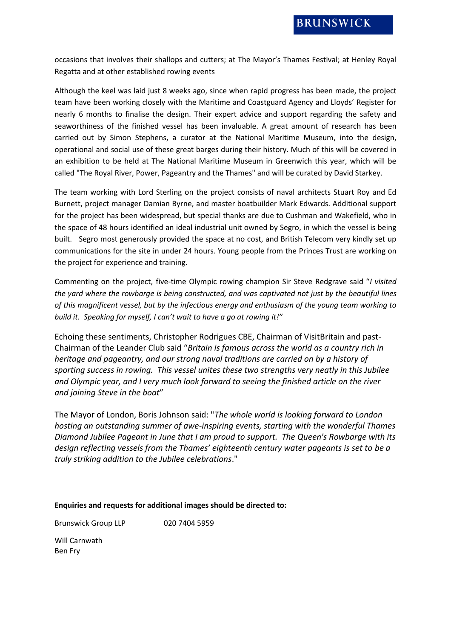occasions that involves their shallops and cutters; at The Mayor's Thames Festival; at Henley Royal Regatta and at other established rowing events

Although the keel was laid just 8 weeks ago, since when rapid progress has been made, the project team have been working closely with the Maritime and Coastguard Agency and Lloyds' Register for nearly 6 months to finalise the design. Their expert advice and support regarding the safety and seaworthiness of the finished vessel has been invaluable. A great amount of research has been carried out by Simon Stephens, a curator at the National Maritime Museum, into the design, operational and social use of these great barges during their history. Much of this will be covered in an exhibition to be held at The National Maritime Museum in Greenwich this year, which will be called "The Royal River, Power, Pageantry and the Thames" and will be curated by David Starkey.

The team working with Lord Sterling on the project consists of naval architects Stuart Roy and Ed Burnett, project manager Damian Byrne, and master boatbuilder Mark Edwards. Additional support for the project has been widespread, but special thanks are due to Cushman and Wakefield, who in the space of 48 hours identified an ideal industrial unit owned by Segro, in which the vessel is being built. Segro most generously provided the space at no cost, and British Telecom very kindly set up communications for the site in under 24 hours. Young people from the Princes Trust are working on the project for experience and training.

Commenting on the project, five-time Olympic rowing champion Sir Steve Redgrave said "*I visited the yard where the rowbarge is being constructed, and was captivated not just by the beautiful lines of this magnificent vessel, but by the infectious energy and enthusiasm of the young team working to build it. Speaking for myself, I can't wait to have a go at rowing it!"*

Echoing these sentiments, Christopher Rodrigues CBE, Chairman of VisitBritain and past-Chairman of the Leander Club said "*Britain is famous across the world as a country rich in heritage and pageantry, and our strong naval traditions are carried on by a history of sporting success in rowing. This vessel unites these two strengths very neatly in this Jubilee and Olympic year, and I very much look forward to seeing the finished article on the river and joining Steve in the boat*"

The Mayor of London, Boris Johnson said: "*The whole world is looking forward to London hosting an outstanding summer of awe-inspiring events, starting with the wonderful Thames Diamond Jubilee Pageant in June that I am proud to support. The Queen's Rowbarge with its design reflecting vessels from the Thames' eighteenth century water pageants is set to be a truly striking addition to the Jubilee celebrations*."

## **Enquiries and requests for additional images should be directed to:**

Brunswick Group LLP 020 7404 5959

Will Carnwath Ben Fry